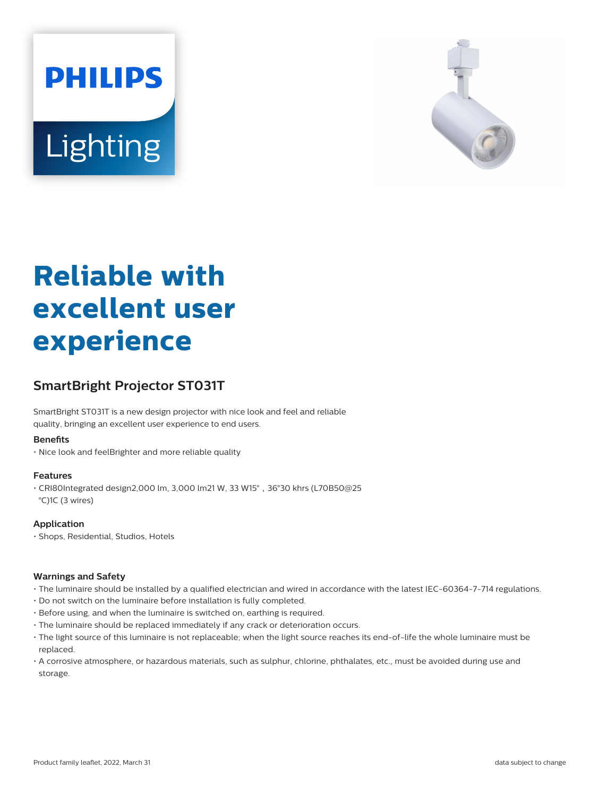



# **Reliable with excellent user experience**

## **SmartBright Projector ST031T**

SmartBright ST031T is a new design projector with nice look and feel and reliable quality, bringing an excellent user experience to end users.

#### **Benefits**

• Nice look and feelBrighter and more reliable quality

#### **Features**

 $\cdot$  CRI80Integrated design2,000 lm, 3,000 lm21 W, 33 W15 $^{\circ}$ , 36°30 khrs (L70B50@25 °C)1C (3 wires)

#### **Application**

• Shops, Residential, Studios, Hotels

#### **Warnings and Safety**

- The luminaire should be installed by a qualified electrician and wired in accordance with the latest IEC-60364-7-714 regulations.
- Do not switch on the luminaire before installation is fully completed.
- Before using, and when the luminaire is switched on, earthing is required.
- The luminaire should be replaced immediately if any crack or deterioration occurs.
- The light source of this luminaire is not replaceable; when the light source reaches its end-of-life the whole luminaire must be replaced.
- A corrosive atmosphere, or hazardous materials, such as sulphur, chlorine, phthalates, etc., must be avoided during use and storage.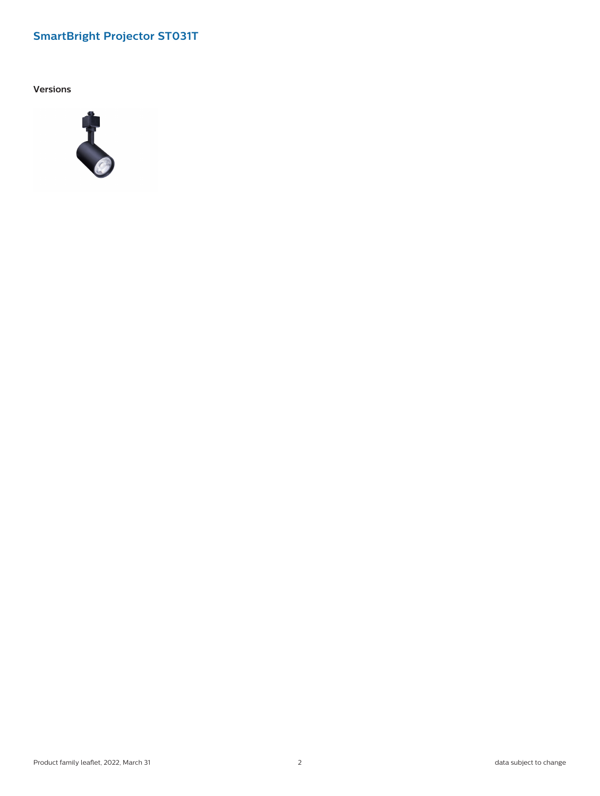## **SmartBright Projector ST031T**

**Versions**

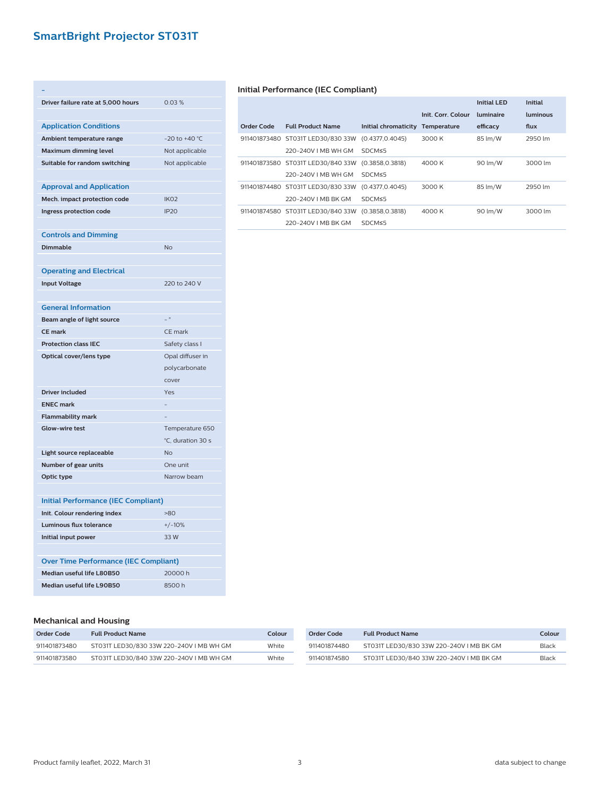## **SmartBright Projector ST031T**

| Driver failure rate at 5,000 hours                | 0.03%                          |
|---------------------------------------------------|--------------------------------|
|                                                   |                                |
| <b>Application Conditions</b>                     |                                |
| Ambient temperature range                         | -20 to +40 °C                  |
| <b>Maximum dimming level</b>                      | Not applicable                 |
| Suitable for random switching                     | Not applicable                 |
|                                                   |                                |
| <b>Approval and Application</b>                   |                                |
| Mech. impact protection code                      | IK <sub>O</sub> 2              |
| Ingress protection code                           | IP <sub>20</sub>               |
|                                                   |                                |
| <b>Controls and Dimming</b>                       |                                |
| <b>Dimmable</b>                                   | <b>No</b>                      |
|                                                   |                                |
| <b>Operating and Electrical</b>                   |                                |
| <b>Input Voltage</b>                              | 220 to 240 V                   |
|                                                   |                                |
| <b>General Information</b>                        |                                |
| Beam angle of light source                        | $\overline{a}$                 |
| <b>CE mark</b>                                    | CE mark                        |
| <b>Protection class IEC</b>                       | Safety class I                 |
| Optical cover/lens type                           | Opal diffuser in               |
|                                                   | polycarbonate                  |
|                                                   | cover                          |
| <b>Driver included</b><br><b>ENEC mark</b>        | Yes                            |
|                                                   |                                |
| <b>Flammability mark</b><br><b>Glow-wire test</b> |                                |
|                                                   | Temperature 650                |
| Light source replaceable                          | °C, duration 30 s<br><b>No</b> |
| Number of gear units                              | One unit                       |
| Optic type                                        | Narrow beam                    |
|                                                   |                                |
| <b>Initial Performance (IEC Compliant)</b>        |                                |
| Init. Colour rendering index                      | $-80$                          |
| <b>Luminous flux tolerance</b>                    | $+/-10%$                       |
| Initial input power                               | 33W                            |
|                                                   |                                |
| <b>Over Time Performance (IEC Compliant)</b>      |                                |
| Median useful life L80B50                         | 20000h                         |
| Median useful life L90B50                         | 8500h                          |
|                                                   |                                |

#### **Initial Performance (IEC Compliant)**

|            |                                                   |                      |                    | Initial I FD | <b>Initial</b> |
|------------|---------------------------------------------------|----------------------|--------------------|--------------|----------------|
|            |                                                   |                      | Init. Corr. Colour | luminaire    | luminous       |
| Order Code | <b>Full Product Name</b>                          | Initial chromaticity | Temperature        | efficacy     | flux           |
|            | 911401873480 ST031T LED30/830 33W (0.4377.0.4045) |                      | 3000 K             | 85 lm/W      | 2950 lm        |
|            | 220-240V LMB WH GM                                | SDCMS5               |                    |              |                |
|            | 911401873580 ST031T LED30/840 33W (0.3858,0.3818) |                      | 4000 K             | 90 lm/W      | 3000 lm        |
|            | 220-240V LMB WH GM                                | SDCMS5               |                    |              |                |
|            | 911401874480 ST031T LED30/830 33W (0.4377,0.4045) |                      | 3000 K             | 85 lm/W      | 2950 lm        |
|            | 220-240V I MB BK GM                               | SDCM≤5               |                    |              |                |
|            | 911401874580 ST031T LED30/840 33W (0.3858.0.3818) |                      | 4000 K             | 90 lm/W      | 3000 lm        |
|            | 220-240V I MB BK GM                               | SDCM≤5               |                    |              |                |

| <b>Mechanical and Housing</b> |
|-------------------------------|

| Order Code   | <b>Full Product Name</b>                 | Colour | Order Code   | <b>Full Product Name</b>                 | Colour |
|--------------|------------------------------------------|--------|--------------|------------------------------------------|--------|
| 911401873480 | ST031T LED30/830 33W 220-240V I MB WH GM | White  | 911401874480 | ST031T LED30/830 33W 220-240V I MB BK GM | Black  |
| 911401873580 | ST031T LED30/840 33W 220-240V I MB WH GM | White  | 911401874580 | ST031T LED30/840 33W 220-240V I MB BK GM | Black  |